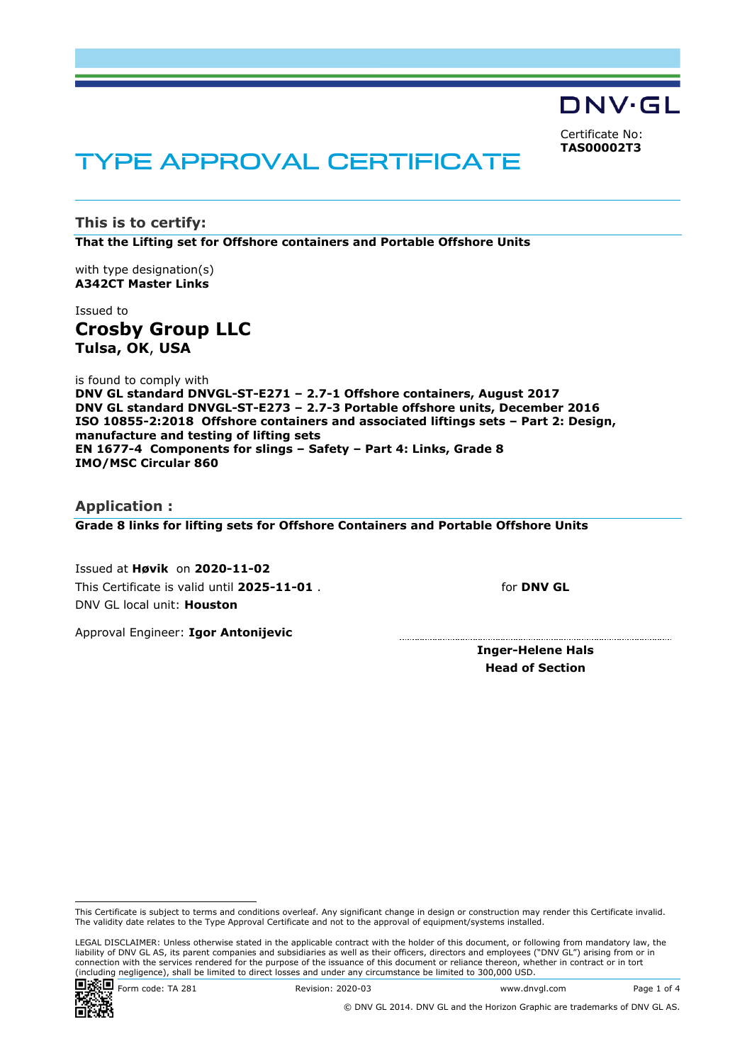DNV·GL Certificate No: **TAS00002T3**

# TYPE APPROVAL CERTIFICATE

**This is to certify: That the Lifting set for Offshore containers and Portable Offshore Units**

with type designation(s) **A342CT Master Links**

Issued to **Crosby Group LLC Tulsa, OK**, **USA**

is found to comply with **DNV GL standard DNVGL-ST-E271 – 2.7-1 Offshore containers, August 2017 DNV GL standard DNVGL-ST-E273 – 2.7-3 Portable offshore units, December 2016 ISO 10855-2:2018 Offshore containers and associated liftings sets – Part 2: Design, manufacture and testing of lifting sets EN 1677-4 Components for slings – Safety – Part 4: Links, Grade 8 IMO/MSC Circular 860**

#### **Application :**

**Grade 8 links for lifting sets for Offshore Containers and Portable Offshore Units**

Issued at **Høvik** on **2020-11-02** This Certificate is valid until **2025-11-01** . DNV GL local unit: **Houston**

for **DNV GL**

Approval Engineer: **Igor Antonijevic**

**Inger-Helene Hals Head of Section**

LEGAL DISCLAIMER: Unless otherwise stated in the applicable contract with the holder of this document, or following from mandatory law, the liability of DNV GL AS, its parent companies and subsidiaries as well as their officers, directors and employees ("DNV GL") arising from or in connection with the services rendered for the purpose of the issuance of this document or reliance thereon, whether in contract or in tort (including negligence), shall be limited to direct losses and under any circumstance be limited to 300,000 USD.



**回避回** Weight 2020-03 www.dnvgl.com Page 1 of 4

This Certificate is subject to terms and conditions overleaf. Any significant change in design or construction may render this Certificate invalid. The validity date relates to the Type Approval Certificate and not to the approval of equipment/systems installed.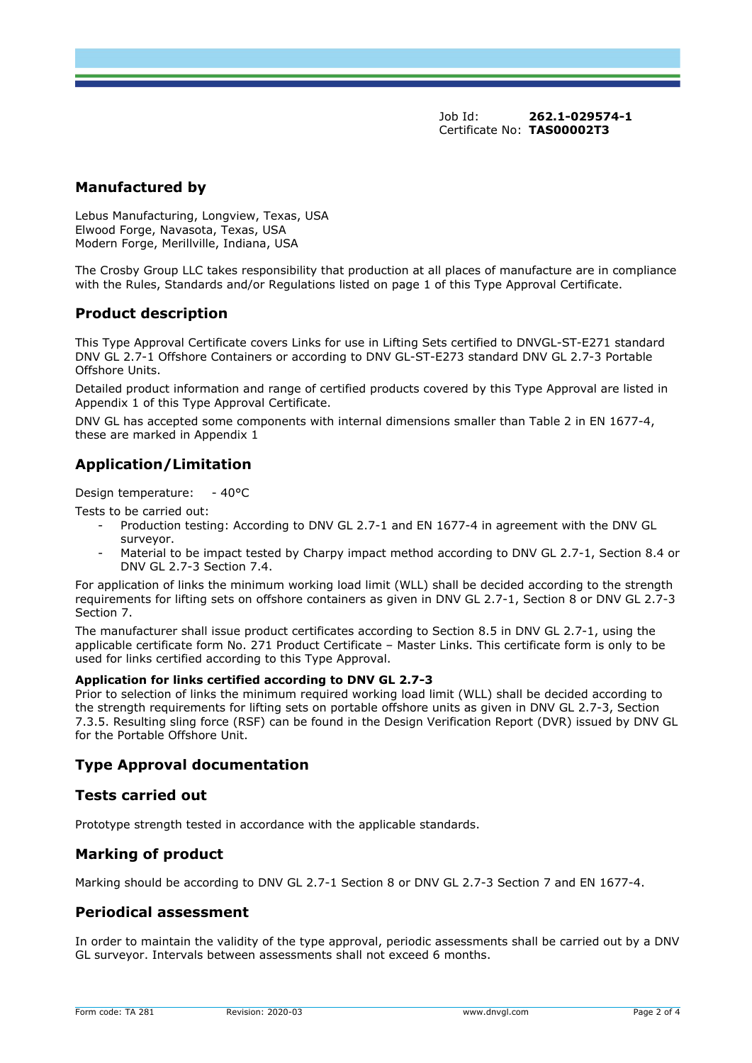Job Id: **262.1-029574-1**  Certificate No: **TAS00002T3**

## **Manufactured by**

Lebus Manufacturing, Longview, Texas, USA Elwood Forge, Navasota, Texas, USA Modern Forge, Merillville, Indiana, USA

The Crosby Group LLC takes responsibility that production at all places of manufacture are in compliance with the Rules, Standards and/or Regulations listed on page 1 of this Type Approval Certificate.

#### **Product description**

This Type Approval Certificate covers Links for use in Lifting Sets certified to DNVGL-ST-E271 standard DNV GL 2.7-1 Offshore Containers or according to DNV GL-ST-E273 standard DNV GL 2.7-3 Portable Offshore Units.

Detailed product information and range of certified products covered by this Type Approval are listed in Appendix 1 of this Type Approval Certificate.

DNV GL has accepted some components with internal dimensions smaller than Table 2 in EN 1677-4, these are marked in Appendix 1

# **Application/Limitation**

Design temperature: - 40°C

Tests to be carried out:

- Production testing: According to DNV GL 2.7-1 and EN 1677-4 in agreement with the DNV GL surveyor.
- Material to be impact tested by Charpy impact method according to DNV GL 2.7-1, Section 8.4 or DNV GL 2.7-3 Section 7.4.

For application of links the minimum working load limit (WLL) shall be decided according to the strength requirements for lifting sets on offshore containers as given in DNV GL 2.7-1, Section 8 or DNV GL 2.7-3 Section 7.

The manufacturer shall issue product certificates according to Section 8.5 in DNV GL 2.7-1, using the applicable certificate form No. 271 Product Certificate – Master Links. This certificate form is only to be used for links certified according to this Type Approval.

#### **Application for links certified according to DNV GL 2.7-3**

Prior to selection of links the minimum required working load limit (WLL) shall be decided according to the strength requirements for lifting sets on portable offshore units as given in DNV GL 2.7-3, Section 7.3.5. Resulting sling force (RSF) can be found in the Design Verification Report (DVR) issued by DNV GL for the Portable Offshore Unit.

## **Type Approval documentation**

#### **Tests carried out**

Prototype strength tested in accordance with the applicable standards.

## **Marking of product**

Marking should be according to DNV GL 2.7-1 Section 8 or DNV GL 2.7-3 Section 7 and EN 1677-4.

## **Periodical assessment**

In order to maintain the validity of the type approval, periodic assessments shall be carried out by a DNV GL surveyor. Intervals between assessments shall not exceed 6 months.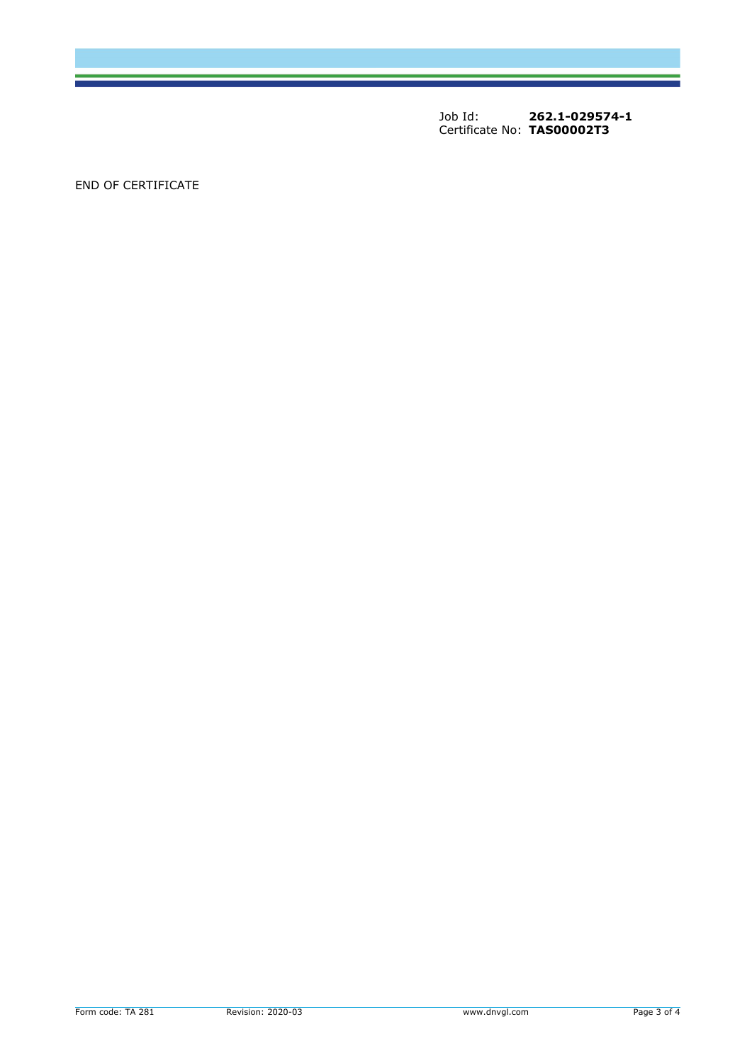Job Id: **262.1-029574-1**  Certificate No: **TAS00002T3**

END OF CERTIFICATE